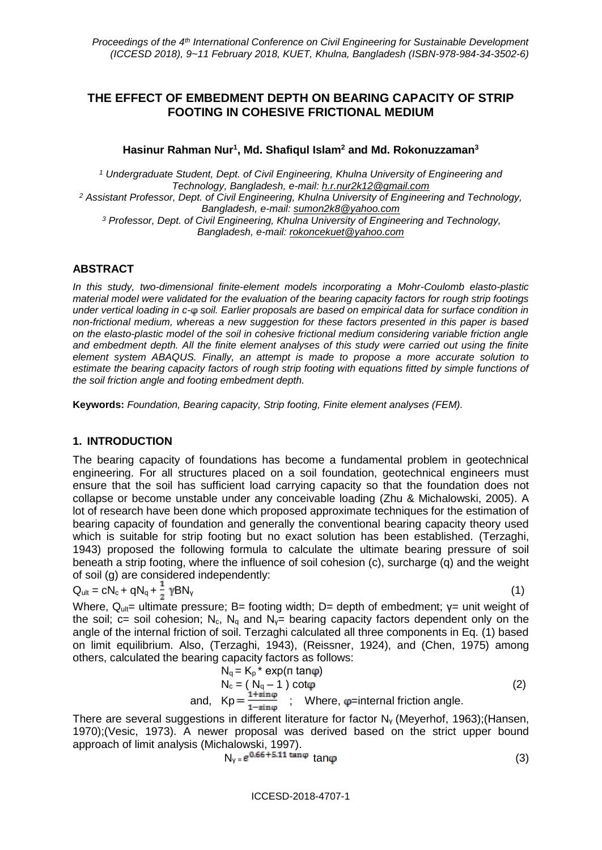## **THE EFFECT OF EMBEDMENT DEPTH ON BEARING CAPACITY OF STRIP FOOTING IN COHESIVE FRICTIONAL MEDIUM**

**Hasinur Rahman Nur<sup>1</sup> , Md. Shafiqul Islam<sup>2</sup> and Md. Rokonuzzaman<sup>3</sup>**

*<sup>1</sup> Undergraduate Student, Dept. of Civil Engineering, Khulna University of Engineering and Technology, Bangladesh, e-mail: h.r.nur2k12@gmail.com <sup>2</sup> Assistant Professor, Dept. of Civil Engineering, Khulna University of Engineering and Technology, Bangladesh, e-mail: sumon2k8@yahoo.com <sup>3</sup> Professor, Dept. of Civil Engineering, Khulna University of Engineering and Technology, Bangladesh, e-mail: rokoncekuet@yahoo.com*

#### **ABSTRACT**

*In this study, two-dimensional finite-element models incorporating a Mohr-Coulomb elasto-plastic material model were validated for the evaluation of the bearing capacity factors for rough strip footings under vertical loading in c- soil. Earlier proposals are based on empirical data for surface condition in non-frictional medium, whereas a new suggestion for these factors presented in this paper is based on the elasto-plastic model of the soil in cohesive frictional medium considering variable friction angle and embedment depth. All the finite element analyses of this study were carried out using the finite element system ABAQUS. Finally, an attempt is made to propose a more accurate solution to estimate the bearing capacity factors of rough strip footing with equations fitted by simple functions of the soil friction angle and footing embedment depth.*

**Keywords:** *Foundation, Bearing capacity, Strip footing, Finite element analyses (FEM).*

#### **1. INTRODUCTION**

The bearing capacity of foundations has become a fundamental problem in geotechnical engineering. For all structures placed on a soil foundation, geotechnical engineers must ensure that the soil has sufficient load carrying capacity so that the foundation does not collapse or become unstable under any conceivable loading (Zhu & Michalowski, 2005). A lot of research have been done which proposed approximate techniques for the estimation of bearing capacity of foundation and generally the conventional bearing capacity theory used which is suitable for strip footing but no exact solution has been established. (Terzaghi, 1943) proposed the following formula to calculate the ultimate bearing pressure of soil beneath a strip footing, where the influence of soil cohesion (c), surcharge (q) and the weight of soil (g) are considered independently:

$$
Q_{ult} = cN_c + qN_q + \frac{1}{2} \gamma BN_v \tag{1}
$$

Where,  $Q_{ult}$ = ultimate pressure; B= footing width; D= depth of embedment;  $y=$  unit weight of the soil; c= soil cohesion; N<sub>c</sub>, N<sub>q</sub> and N<sub>y</sub>= bearing capacity factors dependent only on the angle of the internal friction of soil. Terzaghi calculated all three components in Eq. (1) based on limit equilibrium. Also, (Terzaghi, 1943), (Reissner, 1924), and (Chen, 1975) among others, calculated the bearing capacity factors as follows:

$$
N_q = K_p^* \exp(\pi \tan \varphi)
$$
  
\n
$$
N_c = (N_q - 1) \cot \varphi
$$
  
\nand, 
$$
Kp = \frac{1 + \sin \varphi}{1 - \sin \varphi}
$$
; Where,  $\varphi$ =internal friction angle. (2)

There are several suggestions in different literature for factor Nγ (Meyerhof, 1963);(Hansen, 1970);(Vesic, 1973). A newer proposal was derived based on the strict upper bound approach of limit analysis (Michalowski, 1997).

$$
N_{\gamma} = e^{0.66 + 5.11 \tan \varphi} \tan \varphi \tag{3}
$$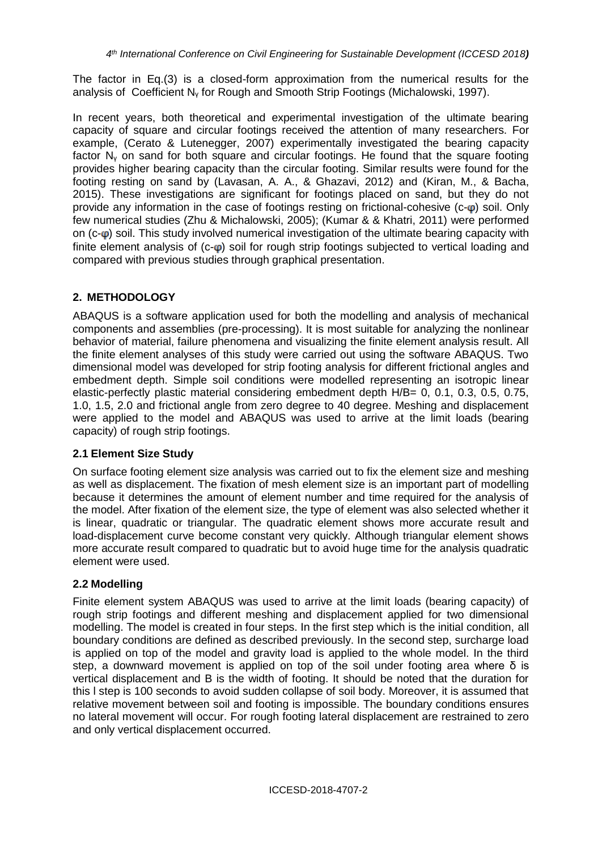The factor in Eq.(3) is a closed-form approximation from the numerical results for the analysis of Coefficient N<sup>γ</sup> for Rough and Smooth Strip Footings (Michalowski, 1997).

In recent years, both theoretical and experimental investigation of the ultimate bearing capacity of square and circular footings received the attention of many researchers. For example, (Cerato & Lutenegger, 2007) experimentally investigated the bearing capacity factor N<sup>γ</sup> on sand for both square and circular footings. He found that the square footing provides higher bearing capacity than the circular footing. Similar results were found for the footing resting on sand by (Lavasan, A. A., & Ghazavi, 2012) and (Kiran, M., & Bacha, 2015). These investigations are significant for footings placed on sand, but they do not provide any information in the case of footings resting on frictional-cohesive  $(c-\varphi)$  soil. Only few numerical studies (Zhu & Michalowski, 2005); (Kumar & & Khatri, 2011) were performed on  $(c-\omega)$  soil. This study involved numerical investigation of the ultimate bearing capacity with finite element analysis of  $(c-\omega)$  soil for rough strip footings subjected to vertical loading and compared with previous studies through graphical presentation.

## **2. METHODOLOGY**

ABAQUS is a software application used for both the modelling and analysis of mechanical components and assemblies (pre-processing). It is most suitable for analyzing the nonlinear behavior of material, failure phenomena and visualizing the finite element analysis result. All the finite element analyses of this study were carried out using the software ABAQUS. Two dimensional model was developed for strip footing analysis for different frictional angles and embedment depth. Simple soil conditions were modelled representing an isotropic linear elastic-perfectly plastic material considering embedment depth H/B= 0, 0.1, 0.3, 0.5, 0.75, 1.0, 1.5, 2.0 and frictional angle from zero degree to 40 degree. Meshing and displacement were applied to the model and ABAQUS was used to arrive at the limit loads (bearing capacity) of rough strip footings.

#### **2.1 Element Size Study**

On surface footing element size analysis was carried out to fix the element size and meshing as well as displacement. The fixation of mesh element size is an important part of modelling because it determines the amount of element number and time required for the analysis of the model. After fixation of the element size, the type of element was also selected whether it is linear, quadratic or triangular. The quadratic element shows more accurate result and load-displacement curve become constant very quickly. Although triangular element shows more accurate result compared to quadratic but to avoid huge time for the analysis quadratic element were used.

#### **2.2 Modelling**

Finite element system ABAQUS was used to arrive at the limit loads (bearing capacity) of rough strip footings and different meshing and displacement applied for two dimensional modelling. The model is created in four steps. In the first step which is the initial condition, all boundary conditions are defined as described previously. In the second step, surcharge load is applied on top of the model and gravity load is applied to the whole model. In the third step, a downward movement is applied on top of the soil under footing area where  $\delta$  is vertical displacement and B is the width of footing. It should be noted that the duration for this l step is 100 seconds to avoid sudden collapse of soil body. Moreover, it is assumed that relative movement between soil and footing is impossible. The boundary conditions ensures no lateral movement will occur. For rough footing lateral displacement are restrained to zero and only vertical displacement occurred.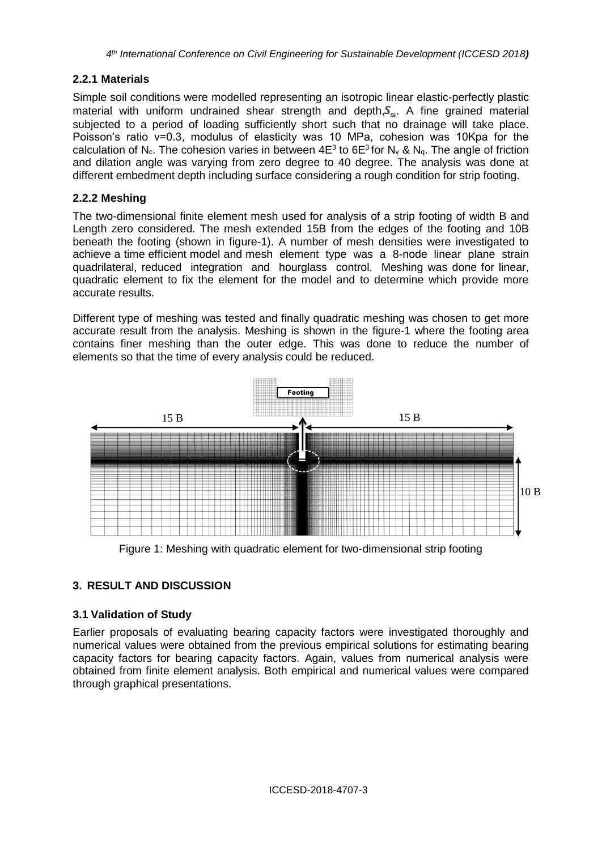## **2.2.1 Materials**

Simple soil conditions were modelled representing an isotropic linear elastic-perfectly plastic material with uniform undrained shear strength and depth,  $S_u$ . A fine grained material subjected to a period of loading sufficiently short such that no drainage will take place. Poisson's ratio ν=0.3, modulus of elasticity was 10 MPa, cohesion was 10Kpa for the calculation of N<sub>c</sub>. The cohesion varies in between 4E<sup>3</sup> to 6E<sup>3</sup> for N<sub>Y</sub> & N<sub>q</sub>. The angle of friction and dilation angle was varying from zero degree to 40 degree. The analysis was done at different embedment depth including surface considering a rough condition for strip footing.

## **2.2.2 Meshing**

The two-dimensional finite element mesh used for analysis of a strip footing of width B and Length zero considered. The mesh extended 15B from the edges of the footing and 10B beneath the footing (shown in figure-1). A number of mesh densities were investigated to achieve a time efficient model and mesh element type was a 8-node linear plane strain quadrilateral, reduced integration and hourglass control. Meshing was done for linear, quadratic element to fix the element for the model and to determine which provide more accurate results.

Different type of meshing was tested and finally quadratic meshing was chosen to get more accurate result from the analysis. Meshing is shown in the figure-1 where the footing area contains finer meshing than the outer edge. This was done to reduce the number of elements so that the time of every analysis could be reduced.



Figure 1: Meshing with quadratic element for two-dimensional strip footing

# **3. RESULT AND DISCUSSION**

## **3.1 Validation of Study**

Earlier proposals of evaluating bearing capacity factors were investigated thoroughly and numerical values were obtained from the previous empirical solutions for estimating bearing capacity factors for bearing capacity factors. Again, values from numerical analysis were obtained from finite element analysis. Both empirical and numerical values were compared through graphical presentations.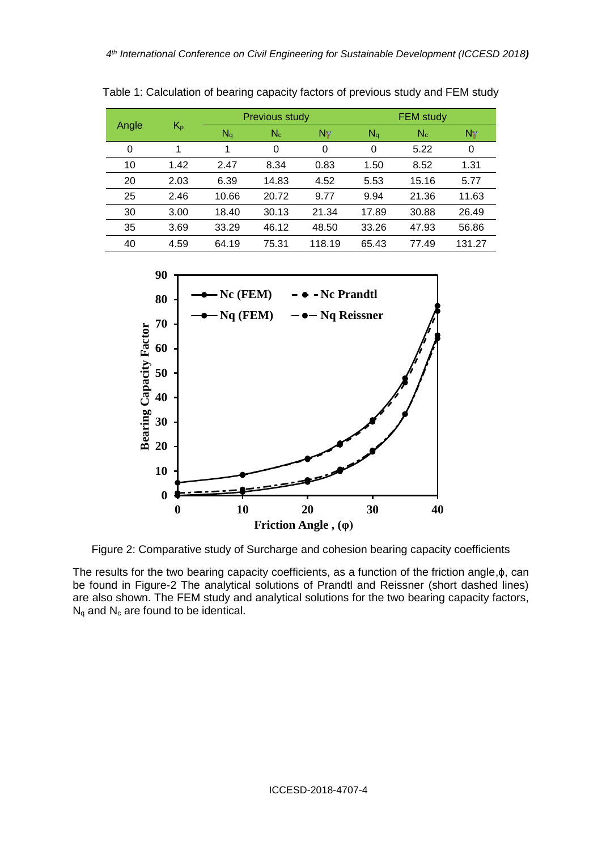| Angle | $K_{p}$ | <b>Previous study</b> |       |        | <b>FEM study</b> |       |        |
|-------|---------|-----------------------|-------|--------|------------------|-------|--------|
|       |         | $N_q$                 | $N_c$ | Nγ     | $N_q$            | $N_c$ | Ny     |
| 0     | 1       | 1                     | 0     | 0      | 0                | 5.22  | 0      |
| 10    | 1.42    | 2.47                  | 8.34  | 0.83   | 1.50             | 8.52  | 1.31   |
| 20    | 2.03    | 6.39                  | 14.83 | 4.52   | 5.53             | 15.16 | 5.77   |
| 25    | 2.46    | 10.66                 | 20.72 | 9.77   | 9.94             | 21.36 | 11.63  |
| 30    | 3.00    | 18.40                 | 30.13 | 21.34  | 17.89            | 30.88 | 26.49  |
| 35    | 3.69    | 33.29                 | 46.12 | 48.50  | 33.26            | 47.93 | 56.86  |
| 40    | 4.59    | 64.19                 | 75.31 | 118.19 | 65.43            | 77.49 | 131.27 |

Table 1: Calculation of bearing capacity factors of previous study and FEM study



Figure 2: Comparative study of Surcharge and cohesion bearing capacity coefficients

The results for the two bearing capacity coefficients, as a function of the friction angle,ϕ, can be found in Figure-2 The analytical solutions of Prandtl and Reissner (short dashed lines) are also shown. The FEM study and analytical solutions for the two bearing capacity factors,  $N_q$  and  $N_c$  are found to be identical.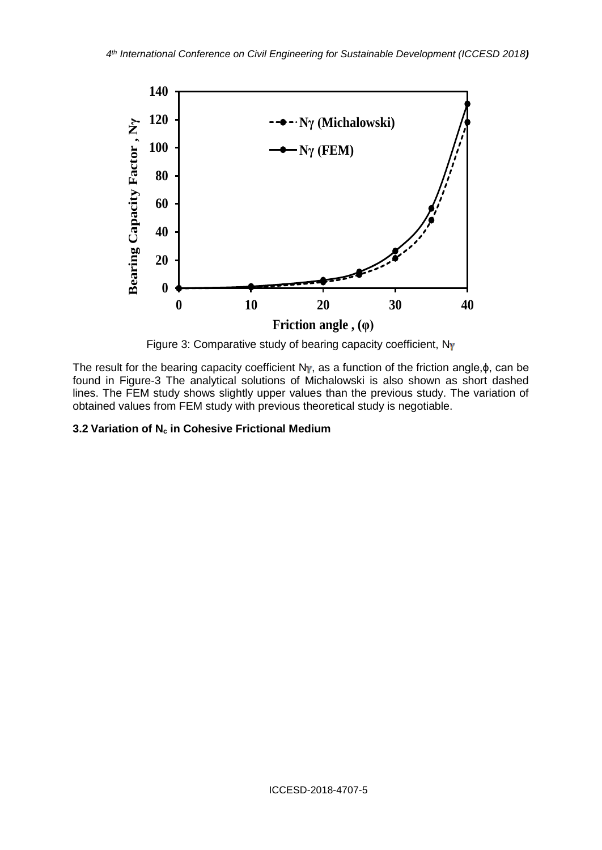

Figure 3: Comparative study of bearing capacity coefficient, Ny

The result for the bearing capacity coefficient N<sub>Y</sub>, as a function of the friction angle, $\phi$ , can be found in Figure-3 The analytical solutions of Michalowski is also shown as short dashed lines. The FEM study shows slightly upper values than the previous study. The variation of obtained values from FEM study with previous theoretical study is negotiable.

#### **3.2 Variation of N<sup>c</sup> in Cohesive Frictional Medium**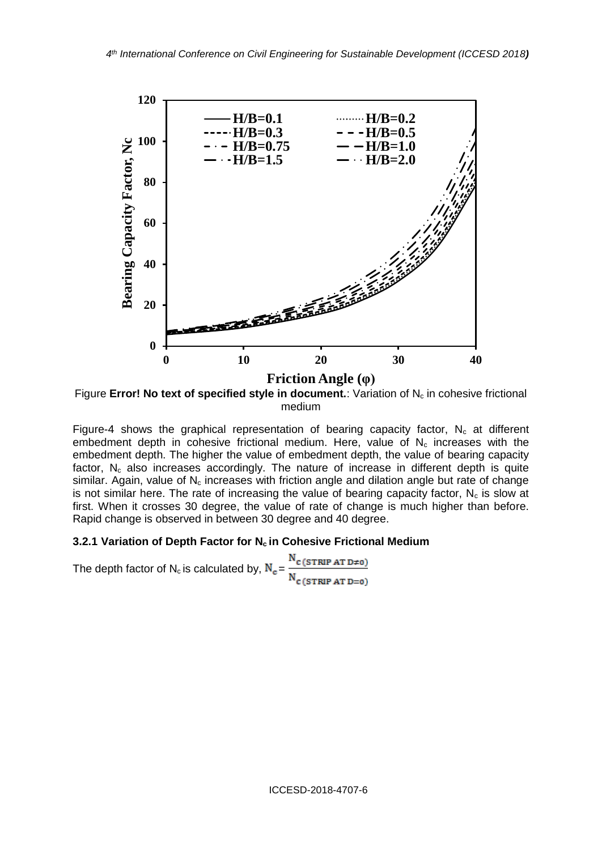

Figure **Error! No text of specified style in document.**: Variation of N<sub>c</sub> in cohesive frictional medium

Figure-4 shows the graphical representation of bearing capacity factor,  $N_c$  at different embedment depth in cohesive frictional medium. Here, value of  $N_c$  increases with the embedment depth. The higher the value of embedment depth, the value of bearing capacity factor,  $N_c$  also increases accordingly. The nature of increase in different depth is quite similar. Again, value of  $N_c$  increases with friction angle and dilation angle but rate of change is not similar here. The rate of increasing the value of bearing capacity factor,  $N_c$  is slow at first. When it crosses 30 degree, the value of rate of change is much higher than before. Rapid change is observed in between 30 degree and 40 degree.

#### **3.2.1 Variation of Depth Factor for N<sup>c</sup> in Cohesive Frictional Medium**

 $\rm N_{C \, (STRIP \, AT \, D \neq 0)}$ The depth factor of  $N_c$  is calculated by,  $N_c =$  $N_{c(STRIP AT D=0)}$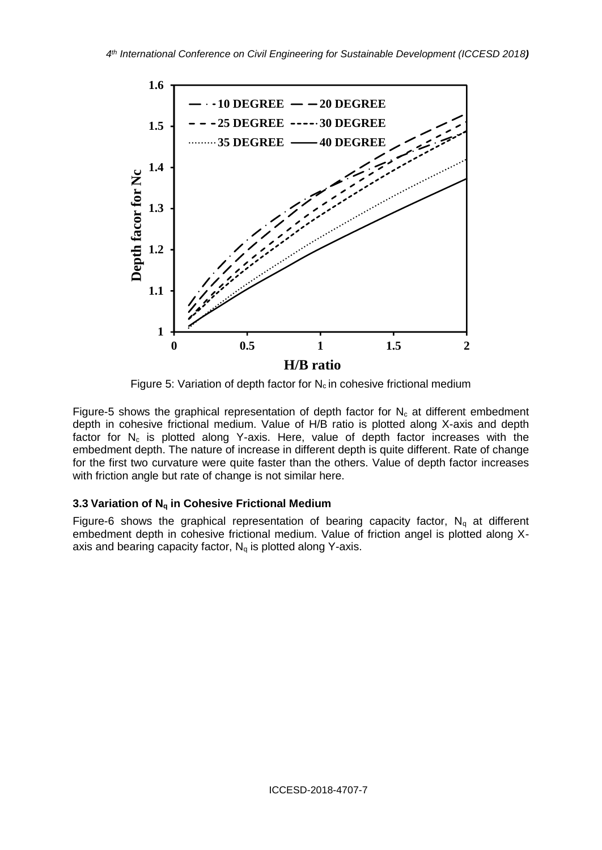

Figure 5: Variation of depth factor for  $N_c$  in cohesive frictional medium

Figure-5 shows the graphical representation of depth factor for  $N_c$  at different embedment depth in cohesive frictional medium. Value of H/B ratio is plotted along X-axis and depth factor for  $N_c$  is plotted along Y-axis. Here, value of depth factor increases with the embedment depth. The nature of increase in different depth is quite different. Rate of change for the first two curvature were quite faster than the others. Value of depth factor increases with friction angle but rate of change is not similar here.

## **3.3 Variation of N<sup>q</sup> in Cohesive Frictional Medium**

Figure-6 shows the graphical representation of bearing capacity factor,  $N_q$  at different embedment depth in cohesive frictional medium. Value of friction angel is plotted along Xaxis and bearing capacity factor,  $N_q$  is plotted along Y-axis.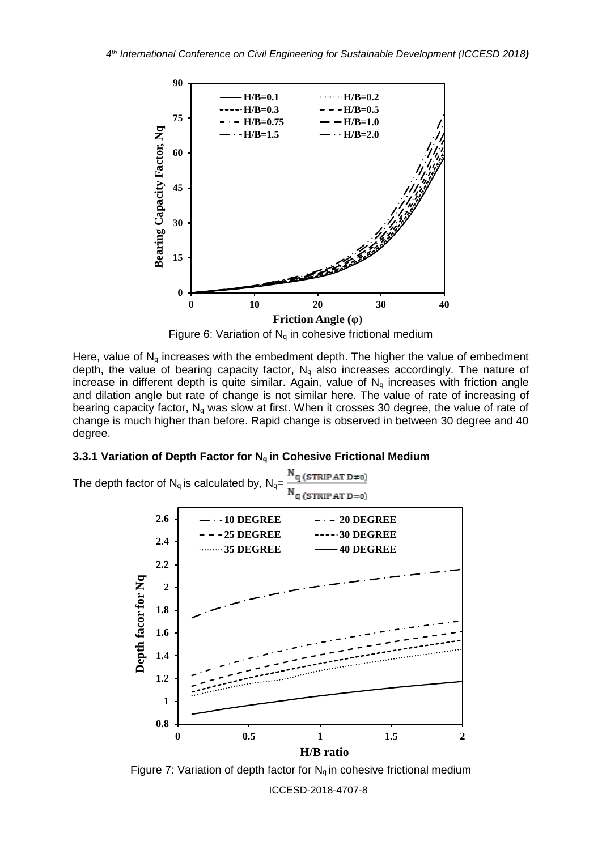

Figure 6: Variation of  $N_q$  in cohesive frictional medium

Here, value of  $N_q$  increases with the embedment depth. The higher the value of embedment depth, the value of bearing capacity factor,  $N_q$  also increases accordingly. The nature of increase in different depth is quite similar. Again, value of  $N_q$  increases with friction angle and dilation angle but rate of change is not similar here. The value of rate of increasing of bearing capacity factor,  $N_q$  was slow at first. When it crosses 30 degree, the value of rate of change is much higher than before. Rapid change is observed in between 30 degree and 40 degree.

### **3.3.1 Variation of Depth Factor for N<sup>q</sup> in Cohesive Frictional Medium**



Figure 7: Variation of depth factor for  $N_q$  in cohesive frictional medium

ICCESD-2018-4707-8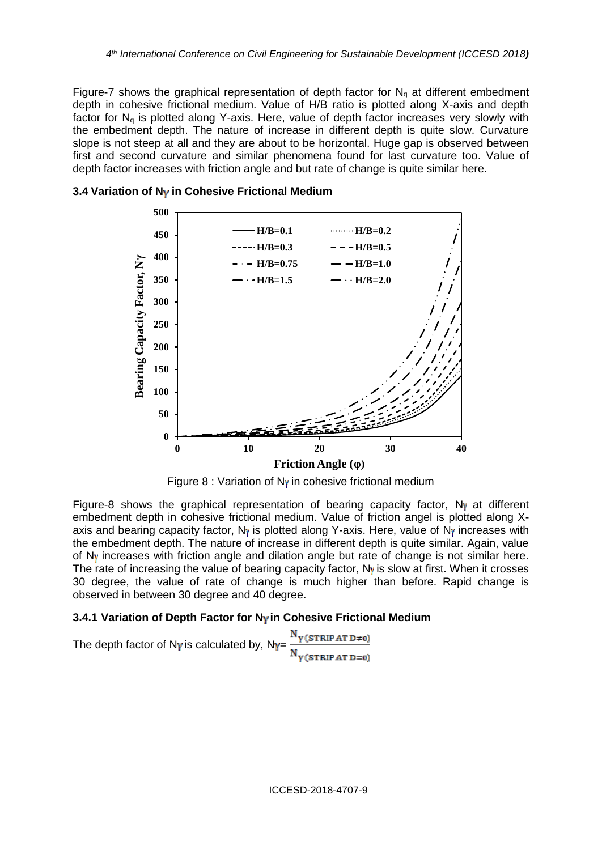Figure-7 shows the graphical representation of depth factor for  $N_q$  at different embedment depth in cohesive frictional medium. Value of H/B ratio is plotted along X-axis and depth factor for  $N_q$  is plotted along Y-axis. Here, value of depth factor increases very slowly with the embedment depth. The nature of increase in different depth is quite slow. Curvature slope is not steep at all and they are about to be horizontal. Huge gap is observed between first and second curvature and similar phenomena found for last curvature too. Value of depth factor increases with friction angle and but rate of change is quite similar here.



## **3.4 Variation of N<sub>Y</sub> in Cohesive Frictional Medium**

Figure 8 : Variation of  $N<sub>V</sub>$  in cohesive frictional medium

Figure-8 shows the graphical representation of bearing capacity factor,  $N<sub>Y</sub>$  at different embedment depth in cohesive frictional medium. Value of friction angel is plotted along Xaxis and bearing capacity factor,  $N<sub>Y</sub>$  is plotted along Y-axis. Here, value of  $N<sub>Y</sub>$  increases with the embedment depth. The nature of increase in different depth is quite similar. Again, value of  $N<sub>Y</sub>$  increases with friction angle and dilation angle but rate of change is not similar here. The rate of increasing the value of bearing capacity factor,  $N<sub>Y</sub>$  is slow at first. When it crosses 30 degree, the value of rate of change is much higher than before. Rapid change is observed in between 30 degree and 40 degree.

## **3.4.1 Variation of Depth Factor for N<sub>Y</sub> in Cohesive Frictional Medium**

The depth factor of Ny is calculated by,  $N_Y = \frac{N_Y(\text{STRIP AT D=0})}{N_Y(\text{STRIP AT D=0})}$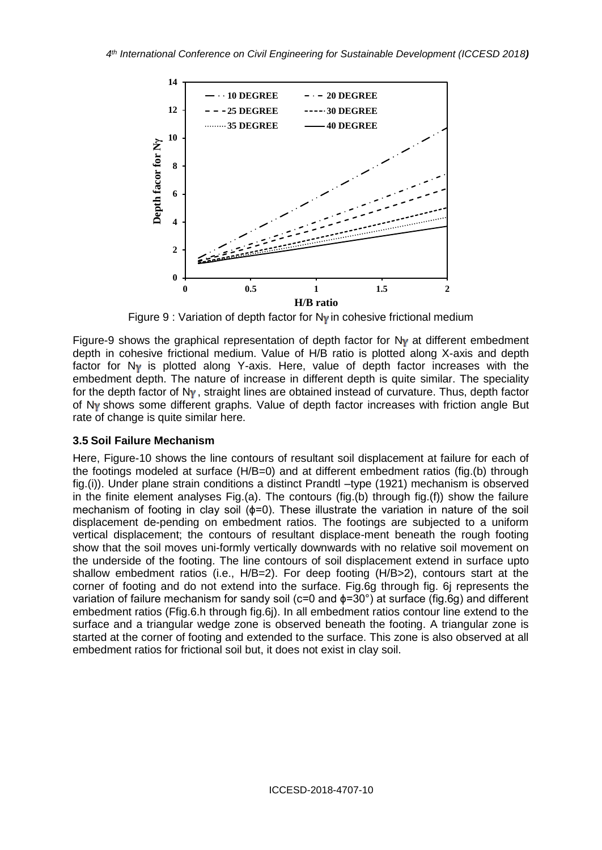

Figure 9 : Variation of depth factor for  $N<sub>V</sub>$  in cohesive frictional medium

Figure-9 shows the graphical representation of depth factor for  $N<sub>Y</sub>$  at different embedment depth in cohesive frictional medium. Value of H/B ratio is plotted along X-axis and depth factor for  $N_Y$  is plotted along Y-axis. Here, value of depth factor increases with the embedment depth. The nature of increase in different depth is quite similar. The speciality for the depth factor of  $N_Y$ , straight lines are obtained instead of curvature. Thus, depth factor of  $N<sub>V</sub>$  shows some different graphs. Value of depth factor increases with friction angle But rate of change is quite similar here.

#### **3.5 Soil Failure Mechanism**

Here, Figure-10 shows the line contours of resultant soil displacement at failure for each of the footings modeled at surface (H/B=0) and at different embedment ratios (fig.(b) through fig.(i)). Under plane strain conditions a distinct Prandtl –type (1921) mechanism is observed in the finite element analyses Fig.(a). The contours (fig.(b) through fig.(f)) show the failure mechanism of footing in clay soil (φ=0). These illustrate the variation in nature of the soil displacement de-pending on embedment ratios. The footings are subjected to a uniform vertical displacement; the contours of resultant displace-ment beneath the rough footing show that the soil moves uni-formly vertically downwards with no relative soil movement on the underside of the footing. The line contours of soil displacement extend in surface upto shallow embedment ratios (i.e., H/B=2). For deep footing (H/B>2), contours start at the corner of footing and do not extend into the surface. Fig.6g through fig. 6j represents the variation of failure mechanism for sandy soil (c=0 and ϕ=30°) at surface (fig.6g) and different embedment ratios (Ffig.6.h through fig.6j). In all embedment ratios contour line extend to the surface and a triangular wedge zone is observed beneath the footing. A triangular zone is started at the corner of footing and extended to the surface. This zone is also observed at all embedment ratios for frictional soil but, it does not exist in clay soil.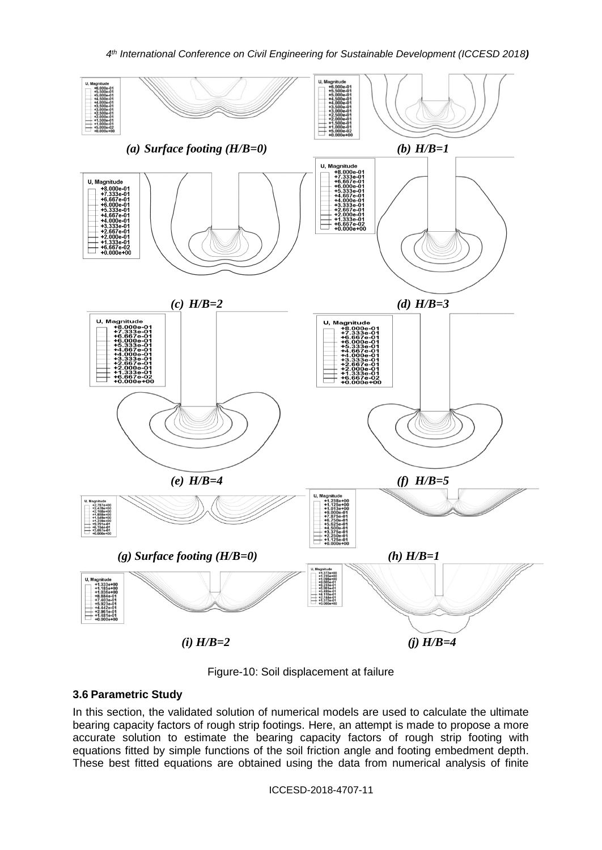

Figure-10: Soil displacement at failure

## **3.6 Parametric Study**

In this section, the validated solution of numerical models are used to calculate the ultimate bearing capacity factors of rough strip footings. Here, an attempt is made to propose a more accurate solution to estimate the bearing capacity factors of rough strip footing with equations fitted by simple functions of the soil friction angle and footing embedment depth. These best fitted equations are obtained using the data from numerical analysis of finite